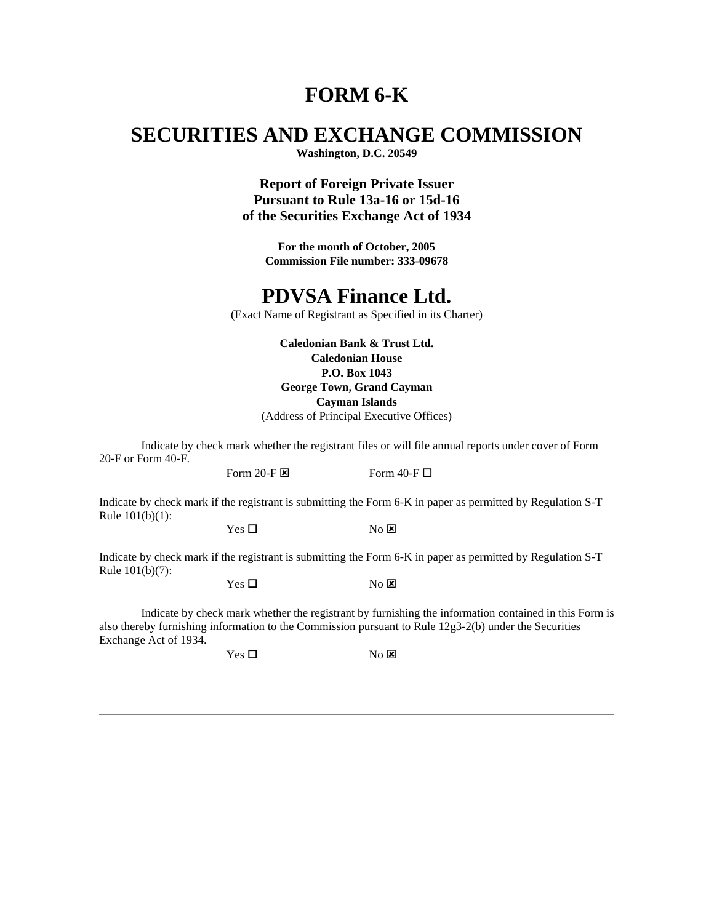# **FORM 6-K**

# **SECURITIES AND EXCHANGE COMMISSION**

**Washington, D.C. 20549**

**Report of Foreign Private Issuer Pursuant to Rule 13a-16 or 15d-16 of the Securities Exchange Act of 1934**

**For the month of October, 2005 Commission File number: 333-09678**

### **PDVSA Finance Ltd.**

(Exact Name of Registrant as Specified in its Charter)

**Caledonian Bank & Trust Ltd. Caledonian House P.O. Box 1043 George Town, Grand Cayman Cayman Islands**

(Address of Principal Executive Offices)

Indicate by check mark whether the registrant files or will file annual reports under cover of Form 20-F or Form 40-F.

Form 20-F  $\boxtimes$  Form 40-F  $\Box$ 

Indicate by check mark if the registrant is submitting the Form 6-K in paper as permitted by Regulation S-T Rule 101(b)(1):

 $Yes \Box$  No  $X$ 

Indicate by check mark if the registrant is submitting the Form 6-K in paper as permitted by Regulation S-T Rule 101(b)(7):

 $Yes \Box$  No  $\boxtimes$ 

Indicate by check mark whether the registrant by furnishing the information contained in this Form is also thereby furnishing information to the Commission pursuant to Rule 12g3-2(b) under the Securities Exchange Act of 1934.

 $Yes \Box$  No  $\boxtimes$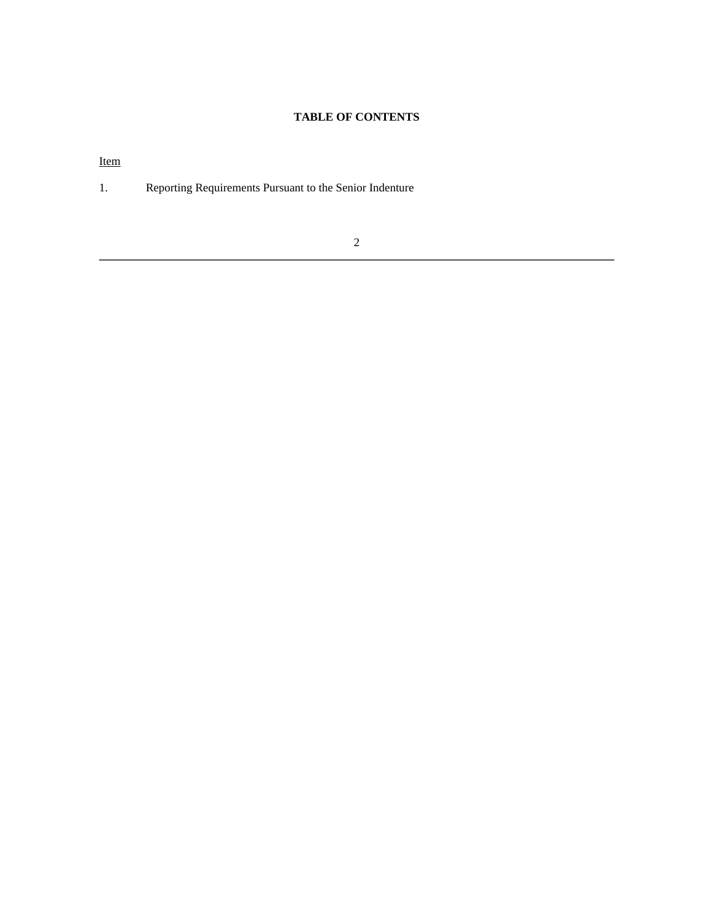### **TABLE OF CONTENTS**

Item

1. Reporting Requirements Pursuant to the Senior Indenture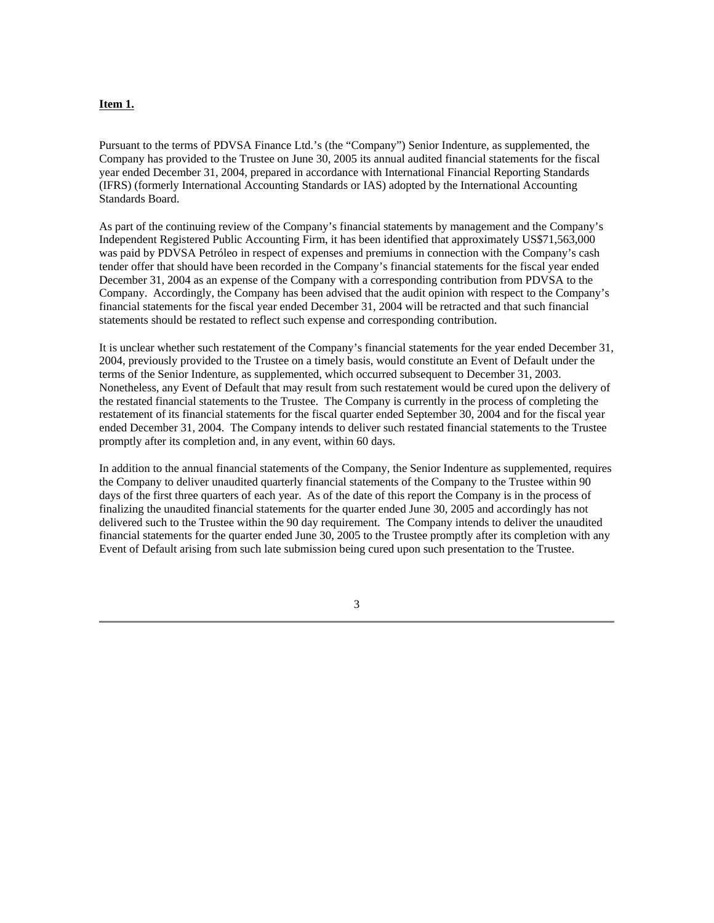#### **Item 1.**

Pursuant to the terms of PDVSA Finance Ltd.'s (the "Company") Senior Indenture, as supplemented, the Company has provided to the Trustee on June 30, 2005 its annual audited financial statements for the fiscal year ended December 31, 2004, prepared in accordance with International Financial Reporting Standards (IFRS) (formerly International Accounting Standards or IAS) adopted by the International Accounting Standards Board.

As part of the continuing review of the Company's financial statements by management and the Company's Independent Registered Public Accounting Firm, it has been identified that approximately US\$71,563,000 was paid by PDVSA Petróleo in respect of expenses and premiums in connection with the Company's cash tender offer that should have been recorded in the Company's financial statements for the fiscal year ended December 31, 2004 as an expense of the Company with a corresponding contribution from PDVSA to the Company. Accordingly, the Company has been advised that the audit opinion with respect to the Company's financial statements for the fiscal year ended December 31, 2004 will be retracted and that such financial statements should be restated to reflect such expense and corresponding contribution.

It is unclear whether such restatement of the Company's financial statements for the year ended December 31, 2004, previously provided to the Trustee on a timely basis, would constitute an Event of Default under the terms of the Senior Indenture, as supplemented, which occurred subsequent to December 31, 2003. Nonetheless, any Event of Default that may result from such restatement would be cured upon the delivery of the restated financial statements to the Trustee. The Company is currently in the process of completing the restatement of its financial statements for the fiscal quarter ended September 30, 2004 and for the fiscal year ended December 31, 2004. The Company intends to deliver such restated financial statements to the Trustee promptly after its completion and, in any event, within 60 days.

In addition to the annual financial statements of the Company, the Senior Indenture as supplemented, requires the Company to deliver unaudited quarterly financial statements of the Company to the Trustee within 90 days of the first three quarters of each year. As of the date of this report the Company is in the process of finalizing the unaudited financial statements for the quarter ended June 30, 2005 and accordingly has not delivered such to the Trustee within the 90 day requirement. The Company intends to deliver the unaudited financial statements for the quarter ended June 30, 2005 to the Trustee promptly after its completion with any Event of Default arising from such late submission being cured upon such presentation to the Trustee.

3